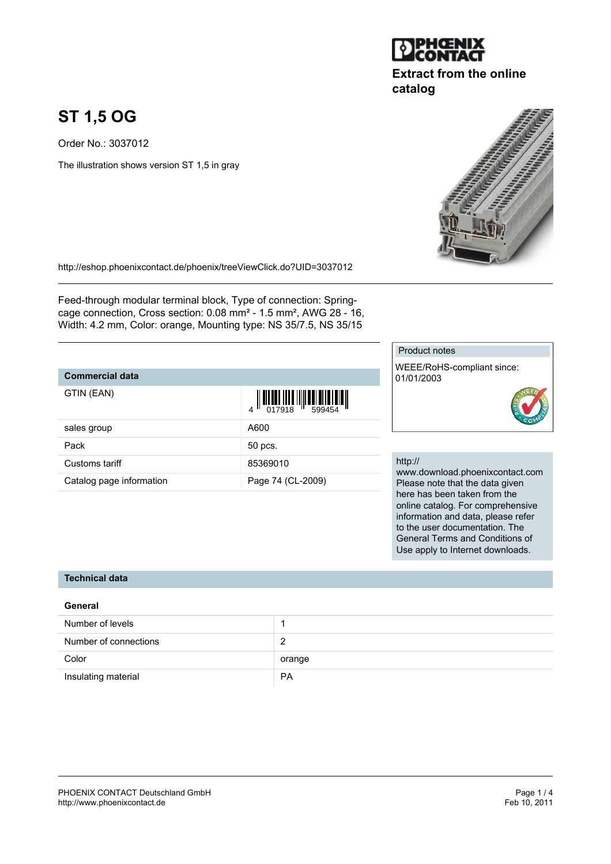# **ST 1,5 OG**

Order No.: 3037012

The illustration shows version ST 1,5 in gray

<http://eshop.phoenixcontact.de/phoenix/treeViewClick.do?UID=3037012>

Feed-through modular terminal block, Type of connection: Springcage connection, Cross section: 0.08 mm² - 1.5 mm², AWG 28 - 16, Width: 4.2 mm, Color: orange, Mounting type: NS 35/7.5, NS 35/15

### **Commercial data**

| GTIN (EAN)               |                   |
|--------------------------|-------------------|
| sales group              | A600              |
| Pack                     | 50 pcs.           |
| Customs tariff           | 85369010          |
| Catalog page information | Page 74 (CL-2009) |

#### Product notes

WEEE/RoHS-compliant since: 01/01/2003



#### http://

www.download.phoenixcontact.com Please note that the data given here has been taken from the online catalog. For comprehensive information and data, please refer to the user documentation. The General Terms and Conditions of Use apply to Internet downloads.

## **Technical data**

## **General** Number of levels 1 Number of connections 2 Color color color color color color color color color color color color color color color color color color color color color color color color color color color color color color color color color color color color color Insulating material **PA**



**catalog**

**Extract from the online**



| $\frac{1}{4}$ $\frac{1}{2}$ $\frac{1}{2}$ $\frac{1}{2}$ $\frac{1}{2}$ $\frac{1}{2}$ $\frac{1}{2}$ $\frac{1}{2}$ $\frac{1}{2}$ $\frac{1}{2}$ $\frac{1}{2}$ $\frac{1}{2}$ $\frac{1}{2}$ $\frac{1}{2}$ $\frac{1}{2}$ $\frac{1}{2}$ $\frac{1}{2}$ $\frac{1}{2}$ $\frac{1}{2}$ $\frac{1}{2}$ $\frac{1}{2}$ $\frac{1}{2}$ |
|---------------------------------------------------------------------------------------------------------------------------------------------------------------------------------------------------------------------------------------------------------------------------------------------------------------------|
| A600                                                                                                                                                                                                                                                                                                                |
| 50 pcs.                                                                                                                                                                                                                                                                                                             |
| 85369010                                                                                                                                                                                                                                                                                                            |
| Page 74 (CL-2009)                                                                                                                                                                                                                                                                                                   |
|                                                                                                                                                                                                                                                                                                                     |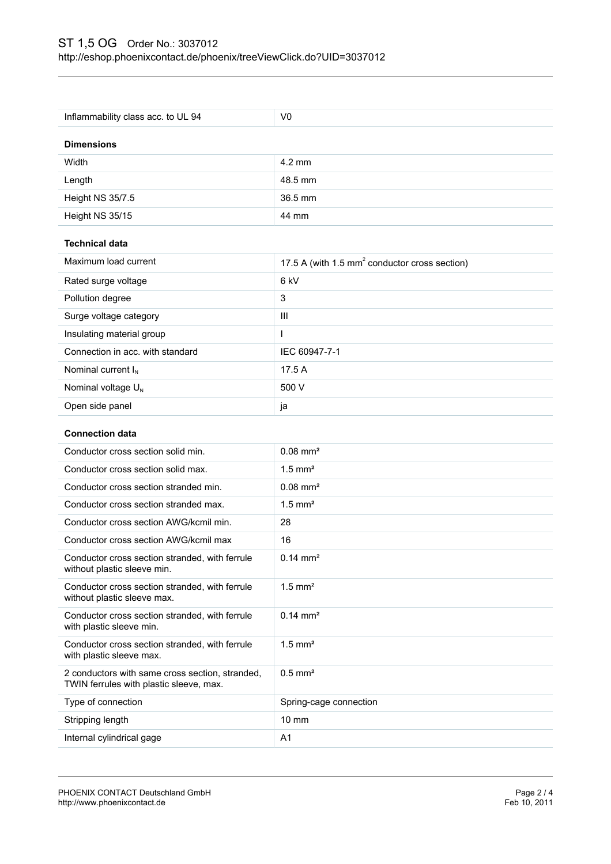| Inflammability class acc. to UL 94                                                                                     | V <sub>0</sub>                                            |  |
|------------------------------------------------------------------------------------------------------------------------|-----------------------------------------------------------|--|
|                                                                                                                        |                                                           |  |
| <b>Dimensions</b>                                                                                                      |                                                           |  |
| Width                                                                                                                  | $4.2 \text{ mm}$                                          |  |
| Length                                                                                                                 | 48.5 mm                                                   |  |
| Height NS 35/7.5                                                                                                       | 36.5 mm                                                   |  |
| Height NS 35/15                                                                                                        | 44 mm                                                     |  |
| <b>Technical data</b>                                                                                                  |                                                           |  |
| Maximum load current                                                                                                   | 17.5 A (with 1.5 mm <sup>2</sup> conductor cross section) |  |
| Rated surge voltage                                                                                                    | 6 kV                                                      |  |
| Pollution degree                                                                                                       | 3                                                         |  |
| Surge voltage category                                                                                                 | III                                                       |  |
| Insulating material group                                                                                              | L                                                         |  |
| Connection in acc. with standard                                                                                       | IEC 60947-7-1                                             |  |
| Nominal current $I_N$                                                                                                  | 17.5 A                                                    |  |
| Nominal voltage U <sub>N</sub>                                                                                         | 500 V                                                     |  |
| Open side panel                                                                                                        | ja                                                        |  |
| <b>Connection data</b>                                                                                                 |                                                           |  |
| Conductor cross section solid min.                                                                                     | $0.08$ mm <sup>2</sup>                                    |  |
| Conductor cross section solid max.                                                                                     | $1.5$ mm <sup>2</sup>                                     |  |
|                                                                                                                        |                                                           |  |
|                                                                                                                        |                                                           |  |
| Conductor cross section stranded min.                                                                                  | $0.08$ mm <sup>2</sup>                                    |  |
| Conductor cross section stranded max.                                                                                  | $1.5$ mm <sup>2</sup>                                     |  |
| Conductor cross section AWG/kcmil min.                                                                                 | 28                                                        |  |
| Conductor cross section AWG/kcmil max<br>Conductor cross section stranded, with ferrule<br>without plastic sleeve min. | 16<br>$0.14 \, \text{mm}^2$                               |  |
| Conductor cross section stranded, with ferrule<br>without plastic sleeve max.                                          | $1.5$ mm <sup>2</sup>                                     |  |
| Conductor cross section stranded, with ferrule<br>with plastic sleeve min.                                             | $0.14 \, \text{mm}^2$                                     |  |
| Conductor cross section stranded, with ferrule<br>with plastic sleeve max.                                             | $1.5$ mm <sup>2</sup>                                     |  |
| 2 conductors with same cross section, stranded,<br>TWIN ferrules with plastic sleeve, max.                             | $0.5$ mm <sup>2</sup>                                     |  |
| Type of connection                                                                                                     | Spring-cage connection                                    |  |
| Stripping length                                                                                                       | 10 mm                                                     |  |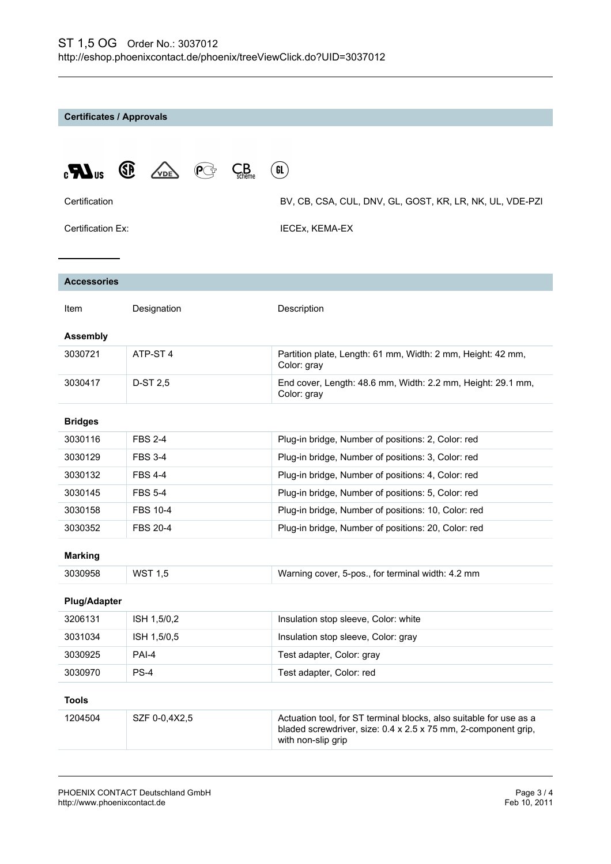**Certificates / Approvals**

| $\mathbf{C}$                        | (SP)<br>$\epsilon$ <b>B</b> | GL                                                                                                                                                         |  |
|-------------------------------------|-----------------------------|------------------------------------------------------------------------------------------------------------------------------------------------------------|--|
| Certification                       |                             | BV, CB, CSA, CUL, DNV, GL, GOST, KR, LR, NK, UL, VDE-PZI                                                                                                   |  |
| Certification Ex:<br>IECEx, KEMA-EX |                             |                                                                                                                                                            |  |
| <b>Accessories</b>                  |                             |                                                                                                                                                            |  |
|                                     |                             |                                                                                                                                                            |  |
| Item                                | Designation                 | Description                                                                                                                                                |  |
| <b>Assembly</b>                     |                             |                                                                                                                                                            |  |
| 3030721                             | ATP-ST <sub>4</sub>         | Partition plate, Length: 61 mm, Width: 2 mm, Height: 42 mm,<br>Color: gray                                                                                 |  |
| 3030417                             | D-ST 2,5                    | End cover, Length: 48.6 mm, Width: 2.2 mm, Height: 29.1 mm,<br>Color: gray                                                                                 |  |
| <b>Bridges</b>                      |                             |                                                                                                                                                            |  |
| 3030116                             | <b>FBS 2-4</b>              | Plug-in bridge, Number of positions: 2, Color: red                                                                                                         |  |
| 3030129                             | <b>FBS 3-4</b>              | Plug-in bridge, Number of positions: 3, Color: red                                                                                                         |  |
| 3030132                             | <b>FBS 4-4</b>              | Plug-in bridge, Number of positions: 4, Color: red                                                                                                         |  |
| 3030145                             | <b>FBS 5-4</b>              | Plug-in bridge, Number of positions: 5, Color: red                                                                                                         |  |
| 3030158                             | <b>FBS 10-4</b>             | Plug-in bridge, Number of positions: 10, Color: red                                                                                                        |  |
| 3030352                             | <b>FBS 20-4</b>             | Plug-in bridge, Number of positions: 20, Color: red                                                                                                        |  |
| <b>Marking</b>                      |                             |                                                                                                                                                            |  |
| 3030958                             | <b>WST 1,5</b>              | Warning cover, 5-pos., for terminal width: 4.2 mm                                                                                                          |  |
| <b>Plug/Adapter</b>                 |                             |                                                                                                                                                            |  |
| 3206131                             | ISH 1,5/0,2                 | Insulation stop sleeve, Color: white                                                                                                                       |  |
| 3031034                             | ISH 1,5/0,5                 | Insulation stop sleeve, Color: gray                                                                                                                        |  |
| 3030925                             | PAI-4                       | Test adapter, Color: gray                                                                                                                                  |  |
| 3030970                             | PS-4                        | Test adapter, Color: red                                                                                                                                   |  |
| <b>Tools</b>                        |                             |                                                                                                                                                            |  |
| 1204504                             | SZF 0-0,4X2,5               | Actuation tool, for ST terminal blocks, also suitable for use as a<br>bladed screwdriver, size: 0.4 x 2.5 x 75 mm, 2-component grip,<br>with non-slip grip |  |